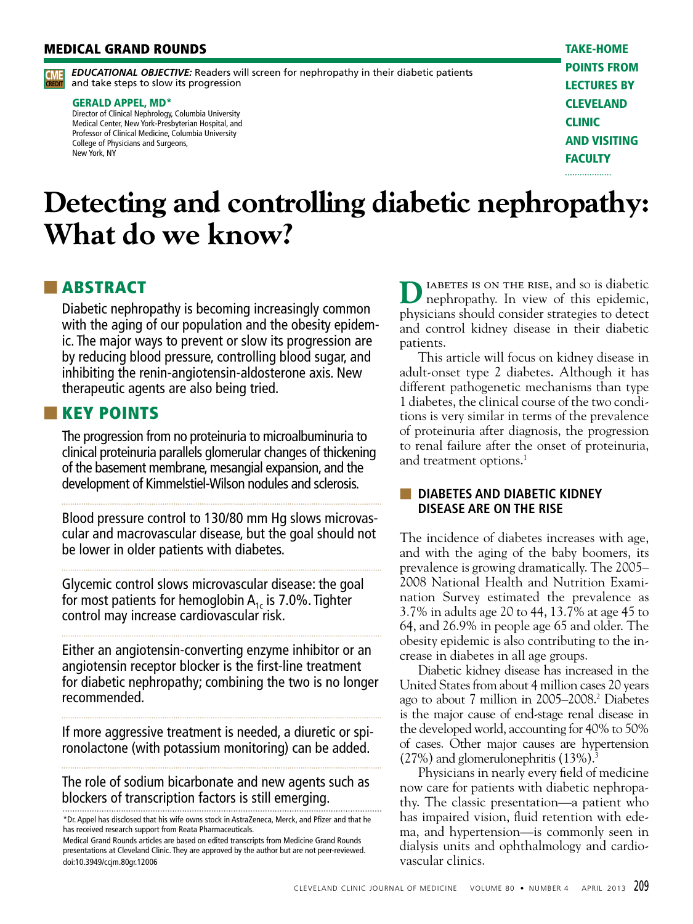#### MEDICAL GRAND ROUNDS

*EDUCATIONAL OBJECTIVE:* Readers will screen for nephropathy in their diabetic patients **CME** EDUCATIONAL OBJECTIVE: Readers will<br>CREDIT and take steps to slow its progression

#### GERALD APPEL, MD\*

Director of Clinical Nephrology, Columbia University Medical Center, New York-Presbyterian Hospital, and Professor of Clinical Medicine, Columbia University College of Physicians and Surgeons, New York, NY

take-home points from lectures by **CLEVELAND CLINIC** and visiting **FACULTY** . . . . . . . . . . . . . . . . . .

### **Detecting and controlling diabetic nephropathy: What do we know?**

### ■ ABSTRACT

Diabetic nephropathy is becoming increasingly common with the aging of our population and the obesity epidemic. The major ways to prevent or slow its progression are by reducing blood pressure, controlling blood sugar, and inhibiting the renin-angiotensin-aldosterone axis. New therapeutic agents are also being tried.

#### ■ KEY POINTS

The progression from no proteinuria to microalbuminuria to clinical proteinuria parallels glomerular changes of thickening of the basement membrane, mesangial expansion, and the development of Kimmelstiel-Wilson nodules and sclerosis.

Blood pressure control to 130/80 mm Hg slows microvascular and macrovascular disease, but the goal should not be lower in older patients with diabetes.

Glycemic control slows microvascular disease: the goal for most patients for hemoglobin  $A_{1c}$  is 7.0%. Tighter control may increase cardiovascular risk.

Either an angiotensin-converting enzyme inhibitor or an angiotensin receptor blocker is the first-line treatment for diabetic nephropathy; combining the two is no longer recommended.

If more aggressive treatment is needed, a diuretic or spironolactone (with potassium monitoring) can be added.

The role of sodium bicarbonate and new agents such as blockers of transcription factors is still emerging.

**D**IABETES IS ON THE RISE, and so is diabetic nephropathy. In view of this epidemic, physicians should consider strategies to detect and control kidney disease in their diabetic patients.

This article will focus on kidney disease in adult-onset type 2 diabetes. Although it has different pathogenetic mechanisms than type 1 diabetes, the clinical course of the two conditions is very similar in terms of the prevalence of proteinuria after diagnosis, the progression to renal failure after the onset of proteinuria, and treatment options.<sup>1</sup>

#### ■ **DIABETES AND DIABETIC KIDNEY DISEASE ARE ON THE RISE**

The incidence of diabetes increases with age, and with the aging of the baby boomers, its prevalence is growing dramatically. The 2005– 2008 National Health and Nutrition Examination Survey estimated the prevalence as 3.7% in adults age 20 to 44, 13.7% at age 45 to 64, and 26.9% in people age 65 and older. The obesity epidemic is also contributing to the increase in diabetes in all age groups.

Diabetic kidney disease has increased in the United States from about 4 million cases 20 years ago to about 7 million in 2005–2008.2 Diabetes is the major cause of end-stage renal disease in the developed world, accounting for 40% to 50% of cases. Other major causes are hypertension  $(27%)$  and glomerulonephritis  $(13%)$ .<sup>3</sup>

Physicians in nearly every field of medicine now care for patients with diabetic nephropathy. The classic presentation—a patient who has impaired vision, fluid retention with edema, and hypertension—is commonly seen in dialysis units and ophthalmology and cardiovascular clinics.

<sup>\*</sup>Dr. Appel has disclosed that his wife owns stock in AstraZeneca, Merck, and Pfizer and that he has received research support from Reata Pharmaceuticals.

Medical Grand Rounds articles are based on edited transcripts from Medicine Grand Rounds presentations at Cleveland Clinic. They are approved by the author but are not peer-reviewed. doi:10.3949/ccjm.80gr.12006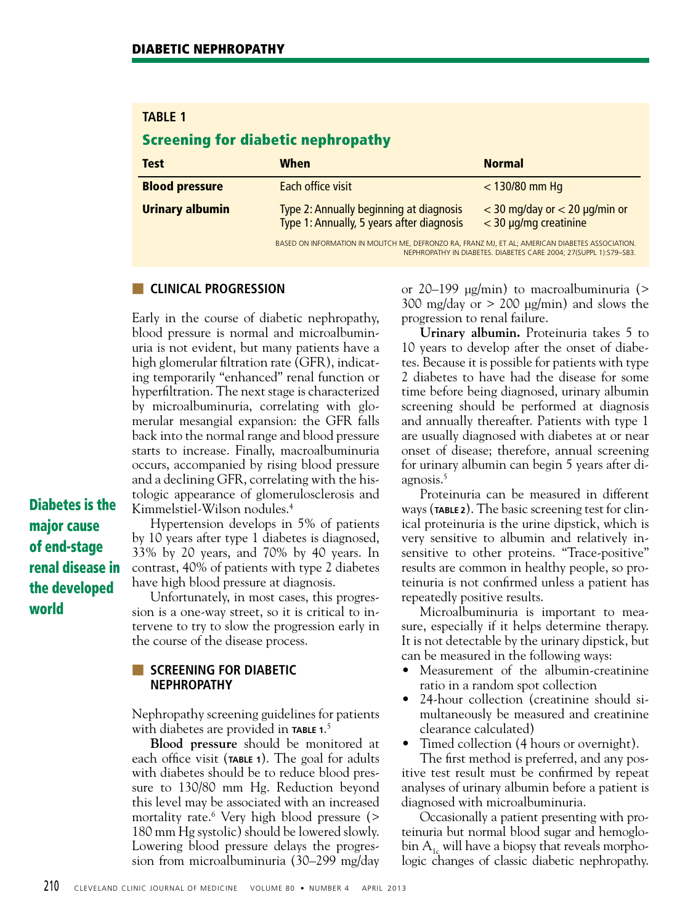### **TABLE 1**

### Screening for diabetic nephropathy

| <b>Test</b>            | When                                                                                                                                                                  | <b>Normal</b>                                                |
|------------------------|-----------------------------------------------------------------------------------------------------------------------------------------------------------------------|--------------------------------------------------------------|
| <b>Blood pressure</b>  | Each office visit                                                                                                                                                     | $<$ 130/80 mm Hq                                             |
| <b>Urinary albumin</b> | Type 2: Annually beginning at diagnosis<br>Type 1: Annually, 5 years after diagnosis                                                                                  | $<$ 30 mg/day or $<$ 20 µg/min or<br>$<$ 30 µg/mg creatinine |
|                        | BASED ON INFORMATION IN MOLITCH ME, DEFRONZO RA, FRANZ MJ, ET AL; AMERICAN DIABETES ASSOCIATION.<br>NEPHROPATHY IN DIARETES DIARETES CARE 2004: 27(SLIPPL 1): S79-S83 |                                                              |

#### ■ **CLINICAL PROGRESSION**

Early in the course of diabetic nephropathy, blood pressure is normal and microalbuminuria is not evident, but many patients have a high glomerular filtration rate (GFR), indicating temporarily "enhanced" renal function or hyperfiltration. The next stage is characterized by microalbuminuria, correlating with glomerular mesangial expansion: the GFR falls back into the normal range and blood pressure starts to increase. Finally, macroalbuminuria occurs, accompanied by rising blood pressure and a declining GFR, correlating with the histologic appearance of glomerulosclerosis and Kimmelstiel-Wilson nodules.4

Diabetes is the major cause of end-stage renal disease in the developed world

Hypertension develops in 5% of patients by 10 years after type 1 diabetes is diagnosed, 33% by 20 years, and 70% by 40 years. In contrast, 40% of patients with type 2 diabetes have high blood pressure at diagnosis.

Unfortunately, in most cases, this progression is a one-way street, so it is critical to intervene to try to slow the progression early in the course of the disease process.

#### **EXCREENING FOR DIABETIC NEPHROPATHY**

Nephropathy screening guidelines for patients with diabetes are provided in **TABLE 1**. 5

**Blood pressure** should be monitored at each office visit (**TABLE 1**). The goal for adults with diabetes should be to reduce blood pressure to 130/80 mm Hg. Reduction beyond this level may be associated with an increased mortality rate.6 Very high blood pressure (> 180 mm Hg systolic) should be lowered slowly. Lowering blood pressure delays the progression from microalbuminuria (30–299 mg/day

or 20–199 μg/min) to macroalbuminuria (> 300 mg/day or  $> 200 \mu g/min$  and slows the progression to renal failure.

**Urinary albumin.** Proteinuria takes 5 to 10 years to develop after the onset of diabetes. Because it is possible for patients with type 2 diabetes to have had the disease for some time before being diagnosed, urinary albumin screening should be performed at diagnosis and annually thereafter. Patients with type 1 are usually diagnosed with diabetes at or near onset of disease; therefore, annual screening for urinary albumin can begin 5 years after diagnosis.<sup>5</sup>

Proteinuria can be measured in different ways (**TABLE 2**). The basic screening test for clinical proteinuria is the urine dipstick, which is very sensitive to albumin and relatively insensitive to other proteins. "Trace-positive" results are common in healthy people, so proteinuria is not confirmed unless a patient has repeatedly positive results.

Microalbuminuria is important to measure, especially if it helps determine therapy. It is not detectable by the urinary dipstick, but can be measured in the following ways:

- Measurement of the albumin-creatinine ratio in a random spot collection
- 24-hour collection (creatinine should simultaneously be measured and creatinine clearance calculated)
- Timed collection (4 hours or overnight).

The first method is preferred, and any positive test result must be confirmed by repeat analyses of urinary albumin before a patient is diagnosed with microalbuminuria.

Occasionally a patient presenting with proteinuria but normal blood sugar and hemoglobin  $A_{1c}$  will have a biopsy that reveals morphologic changes of classic diabetic nephropathy.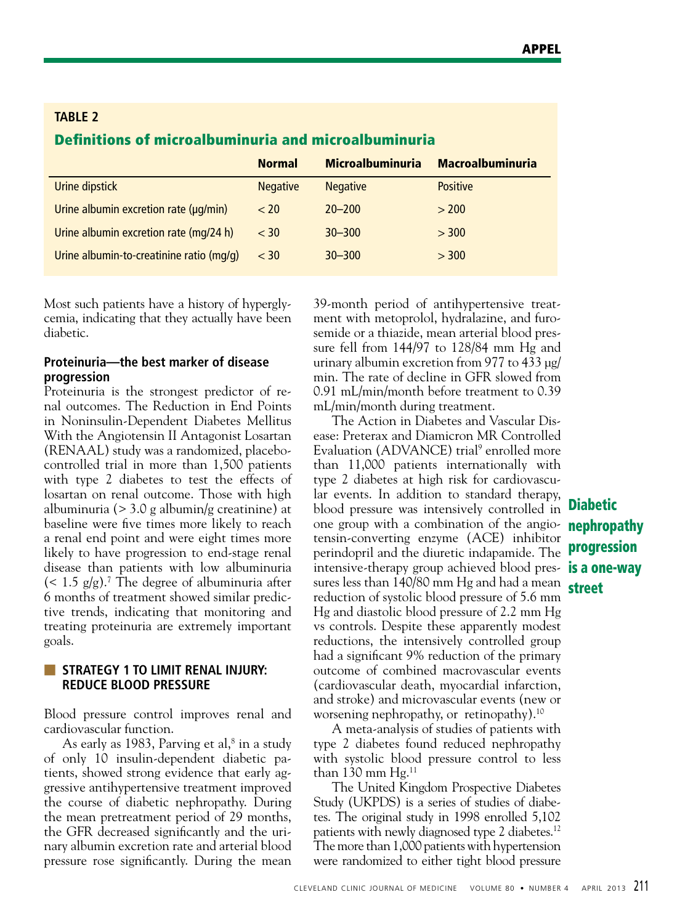| <b>Definitions of microalbuminuria and microalbuminuria</b> |                 |                         |                         |  |  |
|-------------------------------------------------------------|-----------------|-------------------------|-------------------------|--|--|
|                                                             | <b>Normal</b>   | <b>Microalbuminuria</b> | <b>Macroalbuminuria</b> |  |  |
| Urine dipstick                                              | <b>Negative</b> | <b>Negative</b>         | <b>Positive</b>         |  |  |
| Urine albumin excretion rate (µg/min)                       | < 20            | $20 - 200$              | > 200                   |  |  |
| Urine albumin excretion rate (mg/24 h)                      | $<$ 30          | $30 - 300$              | > 300                   |  |  |
| Urine albumin-to-creatinine ratio (mg/g)                    | $<$ 30          | $30 - 300$              | > 300                   |  |  |

Most such patients have a history of hyperglycemia, indicating that they actually have been diabetic.

#### **Proteinuria—the best marker of disease progression**

**TABLE 2**

Proteinuria is the strongest predictor of renal outcomes. The Reduction in End Points in Noninsulin-Dependent Diabetes Mellitus With the Angiotensin II Antagonist Losartan (RENAAL) study was a randomized, placebocontrolled trial in more than 1,500 patients with type 2 diabetes to test the effects of losartan on renal outcome. Those with high albuminuria (> 3.0 g albumin/g creatinine) at baseline were five times more likely to reach a renal end point and were eight times more likely to have progression to end-stage renal disease than patients with low albuminuria  $(< 1.5$  g/g).<sup>7</sup> The degree of albuminuria after 6 months of treatment showed similar predictive trends, indicating that monitoring and treating proteinuria are extremely important goals.

#### **U** STRATEGY 1 TO LIMIT RENAL INJURY: **REDUCE BLOOD PRESSURE**

Blood pressure control improves renal and cardiovascular function.

As early as 1983, Parving et al, $^8$  in a study of only 10 insulin-dependent diabetic patients, showed strong evidence that early aggressive antihypertensive treatment improved the course of diabetic nephropathy. During the mean pretreatment period of 29 months, the GFR decreased significantly and the urinary albumin excretion rate and arterial blood pressure rose significantly. During the mean

39-month period of antihypertensive treatment with metoprolol, hydralazine, and furosemide or a thiazide, mean arterial blood pressure fell from 144/97 to 128/84 mm Hg and urinary albumin excretion from 977 to 433 µg/ min. The rate of decline in GFR slowed from 0.91 mL/min/month before treatment to 0.39 mL/min/month during treatment.

The Action in Diabetes and Vascular Disease: Preterax and Diamicron MR Controlled Evaluation (ADVANCE) trial<sup>9</sup> enrolled more than 11,000 patients internationally with type 2 diabetes at high risk for cardiovascular events. In addition to standard therapy, blood pressure was intensively controlled in one group with a combination of the angio-**nephropathy** tensin-converting enzyme (ACE) inhibitor perindopril and the diuretic indapamide. The intensive-therapy group achieved blood pres- **is a one-way** sures less than 140/80 mm Hg and had a mean reduction of systolic blood pressure of 5.6 mm Hg and diastolic blood pressure of 2.2 mm Hg vs controls. Despite these apparently modest reductions, the intensively controlled group had a significant 9% reduction of the primary outcome of combined macrovascular events (cardiovascular death, myocardial infarction, and stroke) and microvascular events (new or worsening nephropathy, or retinopathy).10

A meta-analysis of studies of patients with type 2 diabetes found reduced nephropathy with systolic blood pressure control to less than 130 mm  $Hg<sup>11</sup>$ 

The United Kingdom Prospective Diabetes Study (UKPDS) is a series of studies of diabetes. The original study in 1998 enrolled 5,102 patients with newly diagnosed type 2 diabetes.<sup>12</sup> The more than 1,000 patients with hypertension were randomized to either tight blood pressure

Diabetic progression street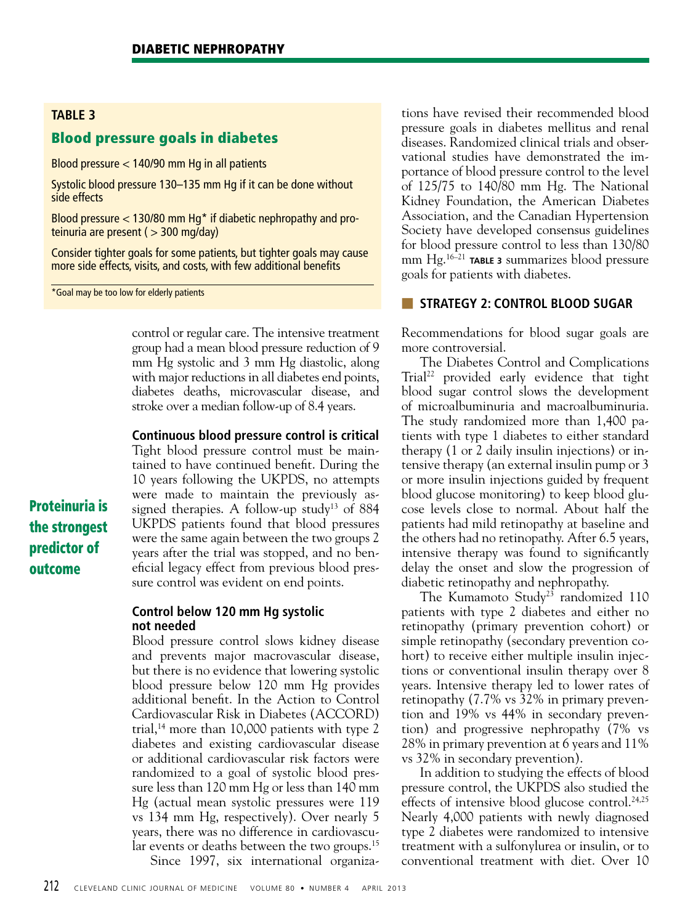#### **TABLE 3**

#### Blood pressure goals in diabetes

Blood pressure < 140/90 mm Hg in all patients

Systolic blood pressure 130–135 mm Hg if it can be done without side effects

Blood pressure  $<$  130/80 mm Hg<sup>\*</sup> if diabetic nephropathy and proteinuria are present ( $>$  300 mg/day)

Consider tighter goals for some patients, but tighter goals may cause more side effects, visits, and costs, with few additional benefits

\*Goal may be too low for elderly patients

control or regular care. The intensive treatment group had a mean blood pressure reduction of 9 mm Hg systolic and 3 mm Hg diastolic, along with major reductions in all diabetes end points, diabetes deaths, microvascular disease, and stroke over a median follow-up of 8.4 years.

#### **Continuous blood pressure control is critical**

Tight blood pressure control must be maintained to have continued benefit. During the 10 years following the UKPDS, no attempts were made to maintain the previously assigned therapies. A follow-up study<sup>13</sup> of 884 UKPDS patients found that blood pressures were the same again between the two groups 2 years after the trial was stopped, and no beneficial legacy effect from previous blood pressure control was evident on end points.

#### **Control below 120 mm Hg systolic not needed**

Blood pressure control slows kidney disease and prevents major macrovascular disease, but there is no evidence that lowering systolic blood pressure below 120 mm Hg provides additional benefit. In the Action to Control Cardiovascular Risk in Diabetes (ACCORD) trial,<sup>14</sup> more than 10,000 patients with type 2 diabetes and existing cardiovascular disease or additional cardiovascular risk factors were randomized to a goal of systolic blood pressure less than 120 mm Hg or less than 140 mm Hg (actual mean systolic pressures were 119 vs 134 mm Hg, respectively). Over nearly 5 years, there was no difference in cardiovascular events or deaths between the two groups.<sup>15</sup>

Since 1997, six international organiza-

tions have revised their recommended blood pressure goals in diabetes mellitus and renal diseases. Randomized clinical trials and observational studies have demonstrated the importance of blood pressure control to the level of 125/75 to 140/80 mm Hg. The National Kidney Foundation, the American Diabetes Association, and the Canadian Hypertension Society have developed consensus guidelines for blood pressure control to less than 130/80 mm Hg.16–21 **TABLE 3** summarizes blood pressure goals for patients with diabetes.

#### ■ **STRATEGY 2: CONTROL BLOOD SUGAR**

Recommendations for blood sugar goals are more controversial.

The Diabetes Control and Complications Trial<sup>22</sup> provided early evidence that tight blood sugar control slows the development of microalbuminuria and macroalbuminuria. The study randomized more than 1,400 patients with type 1 diabetes to either standard therapy (1 or 2 daily insulin injections) or intensive therapy (an external insulin pump or 3 or more insulin injections guided by frequent blood glucose monitoring) to keep blood glucose levels close to normal. About half the patients had mild retinopathy at baseline and the others had no retinopathy. After 6.5 years, intensive therapy was found to significantly delay the onset and slow the progression of diabetic retinopathy and nephropathy.

The Kumamoto Study<sup>23</sup> randomized 110 patients with type 2 diabetes and either no retinopathy (primary prevention cohort) or simple retinopathy (secondary prevention cohort) to receive either multiple insulin injections or conventional insulin therapy over 8 years. Intensive therapy led to lower rates of retinopathy (7.7% vs 32% in primary prevention and 19% vs 44% in secondary prevention) and progressive nephropathy (7% vs 28% in primary prevention at 6 years and 11% vs 32% in secondary prevention).

In addition to studying the effects of blood pressure control, the UKPDS also studied the effects of intensive blood glucose control.<sup>24,25</sup> Nearly 4,000 patients with newly diagnosed type 2 diabetes were randomized to intensive treatment with a sulfonylurea or insulin, or to conventional treatment with diet. Over 10

Proteinuria is the strongest predictor of outcome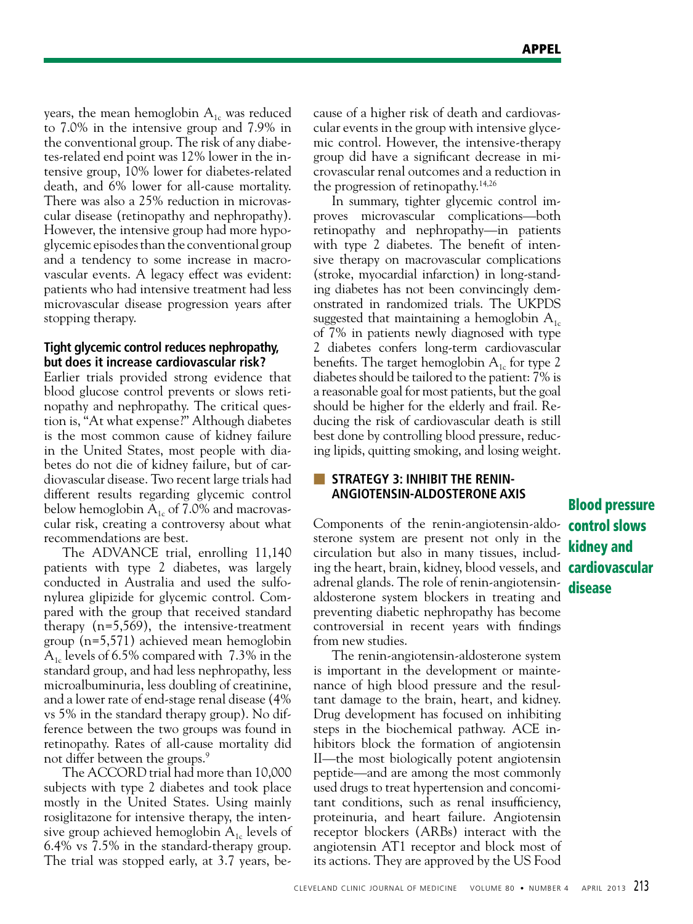years, the mean hemoglobin  $A_{1c}$  was reduced to 7.0% in the intensive group and 7.9% in the conventional group. The risk of any diabetes-related end point was 12% lower in the intensive group, 10% lower for diabetes-related death, and 6% lower for all-cause mortality. There was also a 25% reduction in microvascular disease (retinopathy and nephropathy). However, the intensive group had more hypoglycemic episodes than the conventional group and a tendency to some increase in macrovascular events. A legacy effect was evident: patients who had intensive treatment had less microvascular disease progression years after stopping therapy.

#### **Tight glycemic control reduces nephropathy, but does it increase cardiovascular risk?**

Earlier trials provided strong evidence that blood glucose control prevents or slows retinopathy and nephropathy. The critical question is, "At what expense?" Although diabetes is the most common cause of kidney failure in the United States, most people with diabetes do not die of kidney failure, but of cardiovascular disease. Two recent large trials had different results regarding glycemic control below hemoglobin  $A_{1c}$  of 7.0% and macrovascular risk, creating a controversy about what recommendations are best.

The ADVANCE trial, enrolling 11,140 patients with type 2 diabetes, was largely conducted in Australia and used the sulfonylurea glipizide for glycemic control. Compared with the group that received standard therapy (n=5,569), the intensive-treatment group (n=5,571) achieved mean hemoglobin  $A<sub>1c</sub>$  levels of 6.5% compared with 7.3% in the standard group, and had less nephropathy, less microalbuminuria, less doubling of creatinine, and a lower rate of end-stage renal disease (4% vs 5% in the standard therapy group). No difference between the two groups was found in retinopathy. Rates of all-cause mortality did not differ between the groups.<sup>9</sup>

The ACCORD trial had more than 10,000 subjects with type 2 diabetes and took place mostly in the United States. Using mainly rosiglitazone for intensive therapy, the intensive group achieved hemoglobin  $A_{1c}$  levels of 6.4% vs 7.5% in the standard-therapy group. The trial was stopped early, at 3.7 years, because of a higher risk of death and cardiovascular events in the group with intensive glycemic control. However, the intensive-therapy group did have a significant decrease in microvascular renal outcomes and a reduction in the progression of retinopathy.<sup>14,26</sup>

In summary, tighter glycemic control improves microvascular complications—both retinopathy and nephropathy—in patients with type 2 diabetes. The benefit of intensive therapy on macrovascular complications (stroke, myocardial infarction) in long-standing diabetes has not been convincingly demonstrated in randomized trials. The UKPDS suggested that maintaining a hemoglobin  $A_{1c}$ of 7% in patients newly diagnosed with type 2 diabetes confers long-term cardiovascular benefits. The target hemoglobin  $A_{1c}$  for type 2 diabetes should be tailored to the patient: 7% is a reasonable goal for most patients, but the goal should be higher for the elderly and frail. Reducing the risk of cardiovascular death is still best done by controlling blood pressure, reducing lipids, quitting smoking, and losing weight.

#### ■ **STRATEGY 3: INHIBIT THE RENIN-ANGIOTENSIN-ALDOSTERONE AXIS**

Components of the renin-angiotensin-aldo- control slows sterone system are present not only in the circulation but also in many tissues, including the heart, brain, kidney, blood vessels, and **cardiovascular** adrenal glands. The role of renin-angiotensinaldosterone system blockers in treating and preventing diabetic nephropathy has become controversial in recent years with findings from new studies.

The renin-angiotensin-aldosterone system is important in the development or maintenance of high blood pressure and the resultant damage to the brain, heart, and kidney. Drug development has focused on inhibiting steps in the biochemical pathway. ACE inhibitors block the formation of angiotensin II—the most biologically potent angiotensin peptide—and are among the most commonly used drugs to treat hypertension and concomitant conditions, such as renal insufficiency, proteinuria, and heart failure. Angiotensin receptor blockers (ARBs) interact with the angiotensin AT1 receptor and block most of its actions. They are approved by the US Food

## Blood pressure kidney and disease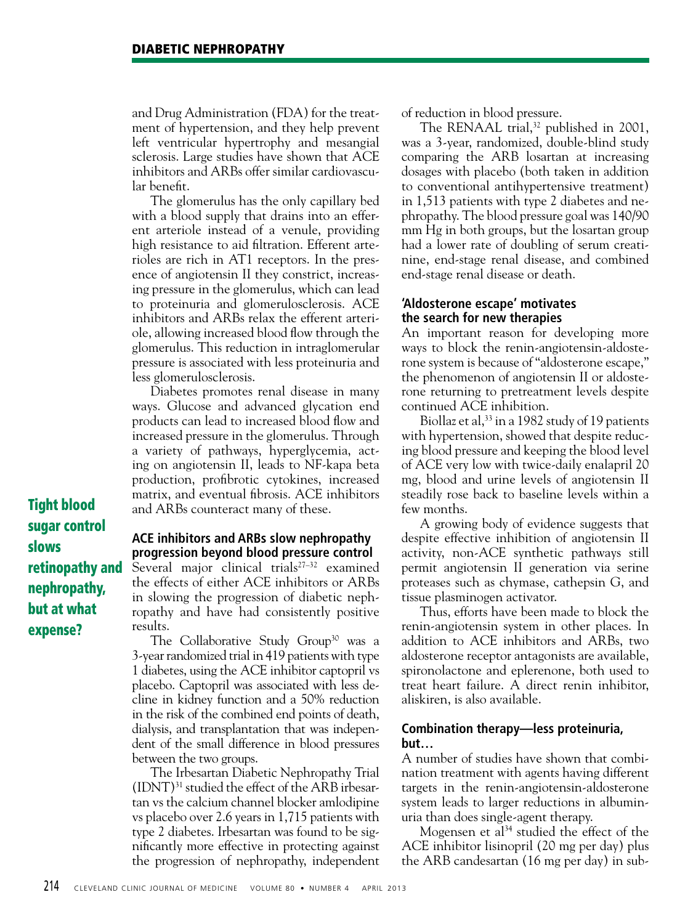and Drug Administration (FDA) for the treatment of hypertension, and they help prevent left ventricular hypertrophy and mesangial sclerosis. Large studies have shown that ACE inhibitors and ARBs offer similar cardiovascular benefit.

The glomerulus has the only capillary bed with a blood supply that drains into an efferent arteriole instead of a venule, providing high resistance to aid filtration. Efferent arterioles are rich in AT1 receptors. In the presence of angiotensin II they constrict, increasing pressure in the glomerulus, which can lead to proteinuria and glomerulosclerosis. ACE inhibitors and ARBs relax the efferent arteriole, allowing increased blood flow through the glomerulus. This reduction in intraglomerular pressure is associated with less proteinuria and less glomerulosclerosis.

Diabetes promotes renal disease in many ways. Glucose and advanced glycation end products can lead to increased blood flow and increased pressure in the glomerulus. Through a variety of pathways, hyperglycemia, acting on angiotensin II, leads to NF-kapa beta production, profibrotic cytokines, increased matrix, and eventual fibrosis. ACE inhibitors and ARBs counteract many of these.

Tight blood sugar control slows retinopathy and nephropathy, but at what expense?

#### **ACE inhibitors and ARBs slow nephropathy progression beyond blood pressure control**

Several major clinical trials<sup>27-32</sup> examined the effects of either ACE inhibitors or ARBs in slowing the progression of diabetic nephropathy and have had consistently positive results.

The Collaborative Study Group<sup>30</sup> was a 3-year randomized trial in 419 patients with type 1 diabetes, using the ACE inhibitor captopril vs placebo. Captopril was associated with less decline in kidney function and a 50% reduction in the risk of the combined end points of death, dialysis, and transplantation that was independent of the small difference in blood pressures between the two groups.

The Irbesartan Diabetic Nephropathy Trial  $(IDNT)^{31}$  studied the effect of the ARB irbesartan vs the calcium channel blocker amlodipine vs placebo over 2.6 years in 1,715 patients with type 2 diabetes. Irbesartan was found to be significantly more effective in protecting against the progression of nephropathy, independent of reduction in blood pressure.

The RENAAL trial, $32$  published in 2001, was a 3-year, randomized, double-blind study comparing the ARB losartan at increasing dosages with placebo (both taken in addition to conventional antihypertensive treatment) in 1,513 patients with type 2 diabetes and nephropathy. The blood pressure goal was 140/90 mm Hg in both groups, but the losartan group had a lower rate of doubling of serum creatinine, end-stage renal disease, and combined end-stage renal disease or death.

#### **'Aldosterone escape' motivates the search for new therapies**

An important reason for developing more ways to block the renin-angiotensin-aldosterone system is because of "aldosterone escape," the phenomenon of angiotensin II or aldosterone returning to pretreatment levels despite continued ACE inhibition.

Biollaz et al,  $33$  in a 1982 study of 19 patients with hypertension, showed that despite reducing blood pressure and keeping the blood level of ACE very low with twice-daily enalapril 20 mg, blood and urine levels of angiotensin II steadily rose back to baseline levels within a few months.

A growing body of evidence suggests that despite effective inhibition of angiotensin II activity, non-ACE synthetic pathways still permit angiotensin II generation via serine proteases such as chymase, cathepsin G, and tissue plasminogen activator.

Thus, efforts have been made to block the renin-angiotensin system in other places. In addition to ACE inhibitors and ARBs, two aldosterone receptor antagonists are available, spironolactone and eplerenone, both used to treat heart failure. A direct renin inhibitor, aliskiren, is also available.

#### **Combination therapy—less proteinuria, but…**

A number of studies have shown that combination treatment with agents having different targets in the renin-angiotensin-aldosterone system leads to larger reductions in albuminuria than does single-agent therapy.

Mogensen et al<sup>34</sup> studied the effect of the ACE inhibitor lisinopril (20 mg per day) plus the ARB candesartan (16 mg per day) in sub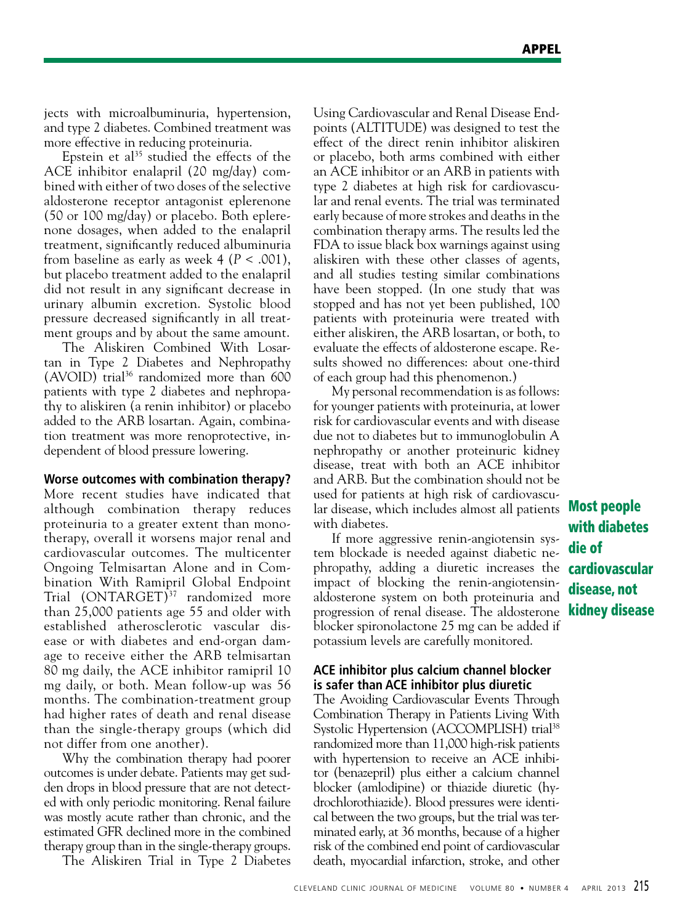jects with microalbuminuria, hypertension, and type 2 diabetes. Combined treatment was more effective in reducing proteinuria.

Epstein et al<sup>35</sup> studied the effects of the ACE inhibitor enalapril (20 mg/day) combined with either of two doses of the selective aldosterone receptor antagonist eplerenone (50 or 100 mg/day) or placebo. Both eplerenone dosages, when added to the enalapril treatment, significantly reduced albuminuria from baseline as early as week 4 (*P* < .001), but placebo treatment added to the enalapril did not result in any significant decrease in urinary albumin excretion. Systolic blood pressure decreased significantly in all treatment groups and by about the same amount.

The Aliskiren Combined With Losartan in Type 2 Diabetes and Nephropathy (AVOID) trial<sup>36</sup> randomized more than 600 patients with type 2 diabetes and nephropathy to aliskiren (a renin inhibitor) or placebo added to the ARB losartan. Again, combination treatment was more renoprotective, independent of blood pressure lowering.

#### **Worse outcomes with combination therapy?**

More recent studies have indicated that although combination therapy reduces proteinuria to a greater extent than monotherapy, overall it worsens major renal and cardiovascular outcomes. The multicenter Ongoing Telmisartan Alone and in Combination With Ramipril Global Endpoint Trial (ONTARGET)<sup>37</sup> randomized more than 25,000 patients age 55 and older with established atherosclerotic vascular disease or with diabetes and end-organ damage to receive either the ARB telmisartan 80 mg daily, the ACE inhibitor ramipril 10 mg daily, or both. Mean follow-up was 56 months. The combination-treatment group had higher rates of death and renal disease than the single-therapy groups (which did not differ from one another).

Why the combination therapy had poorer outcomes is under debate. Patients may get sudden drops in blood pressure that are not detected with only periodic monitoring. Renal failure was mostly acute rather than chronic, and the estimated GFR declined more in the combined therapy group than in the single-therapy groups.

The Aliskiren Trial in Type 2 Diabetes

Using Cardiovascular and Renal Disease Endpoints (ALTITUDE) was designed to test the effect of the direct renin inhibitor aliskiren or placebo, both arms combined with either an ACE inhibitor or an ARB in patients with type 2 diabetes at high risk for cardiovascular and renal events. The trial was terminated early because of more strokes and deaths in the combination therapy arms. The results led the FDA to issue black box warnings against using aliskiren with these other classes of agents, and all studies testing similar combinations have been stopped. (In one study that was stopped and has not yet been published, 100 patients with proteinuria were treated with either aliskiren, the ARB losartan, or both, to evaluate the effects of aldosterone escape. Results showed no differences: about one-third of each group had this phenomenon.)

My personal recommendation is as follows: for younger patients with proteinuria, at lower risk for cardiovascular events and with disease due not to diabetes but to immunoglobulin A nephropathy or another proteinuric kidney disease, treat with both an ACE inhibitor and ARB. But the combination should not be used for patients at high risk of cardiovascular disease, which includes almost all patients **Most people** with diabetes.

If more aggressive renin-angiotensin system blockade is needed against diabetic nephropathy, adding a diuretic increases the cardiovascular impact of blocking the renin-angiotensinaldosterone system on both proteinuria and progression of renal disease. The aldosterone kidney disease blocker spironolactone 25 mg can be added if potassium levels are carefully monitored.

#### **ACE inhibitor plus calcium channel blocker is safer than ACE inhibitor plus diuretic**

The Avoiding Cardiovascular Events Through Combination Therapy in Patients Living With Systolic Hypertension (ACCOMPLISH) trial<sup>38</sup> randomized more than 11,000 high-risk patients with hypertension to receive an ACE inhibitor (benazepril) plus either a calcium channel blocker (amlodipine) or thiazide diuretic (hydrochlorothiazide). Blood pressures were identical between the two groups, but the trial was terminated early, at 36 months, because of a higher risk of the combined end point of cardiovascular death, myocardial infarction, stroke, and other

with diabetes die of disease, not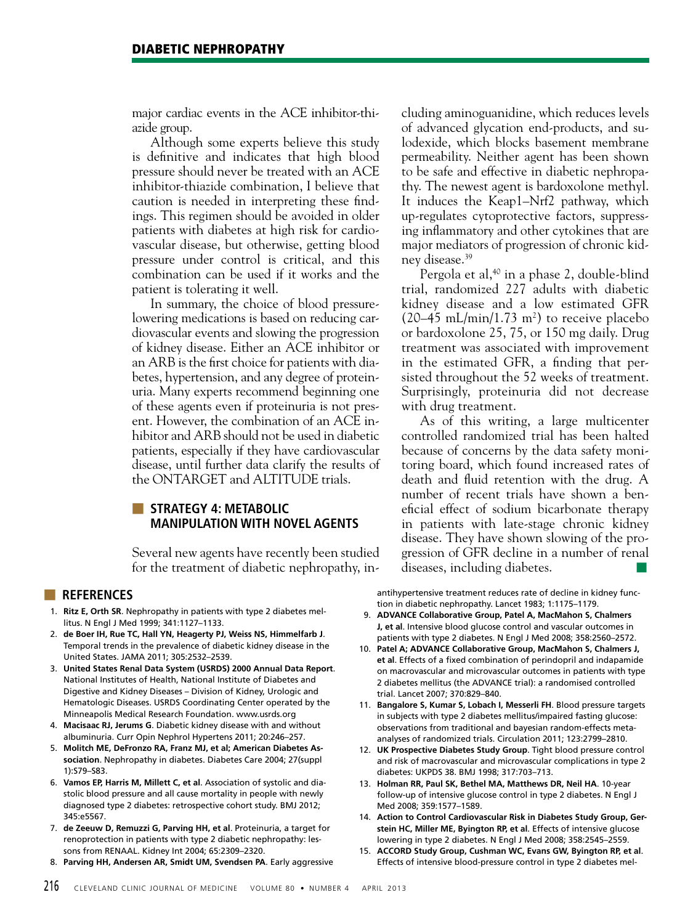major cardiac events in the ACE inhibitor-thiazide group.

Although some experts believe this study is definitive and indicates that high blood pressure should never be treated with an ACE inhibitor-thiazide combination, I believe that caution is needed in interpreting these findings. This regimen should be avoided in older patients with diabetes at high risk for cardiovascular disease, but otherwise, getting blood pressure under control is critical, and this combination can be used if it works and the patient is tolerating it well.

In summary, the choice of blood pressurelowering medications is based on reducing cardiovascular events and slowing the progression of kidney disease. Either an ACE inhibitor or an ARB is the first choice for patients with diabetes, hypertension, and any degree of proteinuria. Many experts recommend beginning one of these agents even if proteinuria is not present. However, the combination of an ACE inhibitor and ARB should not be used in diabetic patients, especially if they have cardiovascular disease, until further data clarify the results of the ONTARGET and ALTITUDE trials.

#### ■ **STRATEGY 4: METABOLIC MANIPULATION WITH NOVEL AGENTS**

Several new agents have recently been studied for the treatment of diabetic nephropathy, in-

#### ■ **REFERENCES**

- 1. **Ritz E, Orth SR**. Nephropathy in patients with type 2 diabetes mellitus. N Engl J Med 1999; 341:1127–1133.
- 2. **de Boer IH, Rue TC, Hall YN, Heagerty PJ, Weiss NS, Himmelfarb J**. Temporal trends in the prevalence of diabetic kidney disease in the United States. JAMA 2011; 305:2532–2539.
- 3. **United States Renal Data System (USRDS) 2000 Annual Data Report**. National Institutes of Health, National Institute of Diabetes and Digestive and Kidney Diseases – Division of Kidney, Urologic and Hematologic Diseases. USRDS Coordinating Center operated by the Minneapolis Medical Research Foundation. www.usrds.org
- 4. **Macisaac RJ, Jerums G**. Diabetic kidney disease with and without albuminuria. Curr Opin Nephrol Hypertens 2011; 20:246–257.
- 5. **Molitch ME, DeFronzo RA, Franz MJ, et al; American Diabetes Association**. Nephropathy in diabetes. Diabetes Care 2004; 27(suppl 1):S79–S83.
- 6. **Vamos EP, Harris M, Millett C, et al**. Association of systolic and diastolic blood pressure and all cause mortality in people with newly diagnosed type 2 diabetes: retrospective cohort study. BMJ 2012; 345:e5567.
- 7. **de Zeeuw D, Remuzzi G, Parving HH, et al**. Proteinuria, a target for renoprotection in patients with type 2 diabetic nephropathy: lessons from RENAAL. Kidney Int 2004; 65:2309–2320.
- 8. **Parving HH, Andersen AR, Smidt UM, Svendsen PA**. Early aggressive

cluding aminoguanidine, which reduces levels of advanced glycation end-products, and sulodexide, which blocks basement membrane permeability. Neither agent has been shown to be safe and effective in diabetic nephropathy. The newest agent is bardoxolone methyl. It induces the Keap1–Nrf2 pathway, which up-regulates cytoprotective factors, suppressing inflammatory and other cytokines that are major mediators of progression of chronic kidney disease.39

Pergola et al,<sup>40</sup> in a phase 2, double-blind trial, randomized 227 adults with diabetic kidney disease and a low estimated GFR  $(20-45 \text{ mL/min}/1.73 \text{ m}^2)$  to receive placebo or bardoxolone 25, 75, or 150 mg daily. Drug treatment was associated with improvement in the estimated GFR, a finding that persisted throughout the 52 weeks of treatment. Surprisingly, proteinuria did not decrease with drug treatment.

As of this writing, a large multicenter controlled randomized trial has been halted because of concerns by the data safety monitoring board, which found increased rates of death and fluid retention with the drug. A number of recent trials have shown a beneficial effect of sodium bicarbonate therapy in patients with late-stage chronic kidney disease. They have shown slowing of the progression of GFR decline in a number of renal diseases, including diabetes.

antihypertensive treatment reduces rate of decline in kidney function in diabetic nephropathy. Lancet 1983; 1:1175–1179.

- 9. **ADVANCE Collaborative Group, Patel A, MacMahon S, Chalmers J, et al**. Intensive blood glucose control and vascular outcomes in patients with type 2 diabetes. N Engl J Med 2008; 358:2560–2572.
- 10. **Patel A; ADVANCE Collaborative Group, MacMahon S, Chalmers J, et al**. Effects of a fixed combination of perindopril and indapamide on macrovascular and microvascular outcomes in patients with type 2 diabetes mellitus (the ADVANCE trial): a randomised controlled trial. Lancet 2007; 370:829–840.
- 11. **Bangalore S, Kumar S, Lobach I, Messerli FH**. Blood pressure targets in subjects with type 2 diabetes mellitus/impaired fasting glucose: observations from traditional and bayesian random-effects metaanalyses of randomized trials. Circulation 2011; 123:2799–2810.
- 12. **UK Prospective Diabetes Study Group**. Tight blood pressure control and risk of macrovascular and microvascular complications in type 2 diabetes: UKPDS 38. BMJ 1998; 317:703–713.
- 13. **Holman RR, Paul SK, Bethel MA, Matthews DR, Neil HA**. 10-year follow-up of intensive glucose control in type 2 diabetes. N Engl J Med 2008; 359:1577–1589.
- 14. **Action to Control Cardiovascular Risk in Diabetes Study Group, Gerstein HC, Miller ME, Byington RP, et al**. Effects of intensive glucose lowering in type 2 diabetes. N Engl J Med 2008; 358:2545–2559.
- 15. **ACCORD Study Group, Cushman WC, Evans GW, Byington RP, et al**. Effects of intensive blood-pressure control in type 2 diabetes mel-